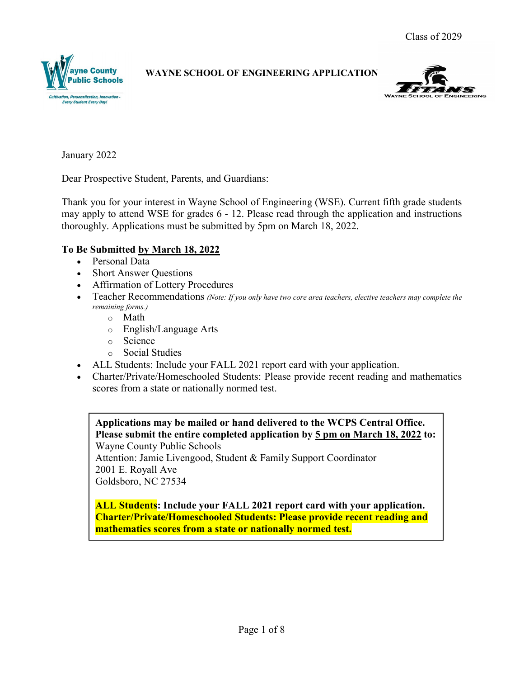



January 2022

Dear Prospective Student, Parents, and Guardians:

Thank you for your interest in Wayne School of Engineering (WSE). Current fifth grade students may apply to attend WSE for grades 6 - 12. Please read through the application and instructions thoroughly. Applications must be submitted by 5pm on March 18, 2022.

# **To Be Submitted by March 18, 2022**

- Personal Data
- Short Answer Questions
- Affirmation of Lottery Procedures
- Teacher Recommendations *(Note: If you only have two core area teachers, elective teachers may complete the remaining forms.)*
	- o Math
	- o English/Language Arts
	- o Science
	- o Social Studies
- ALL Students: Include your FALL 2021 report card with your application.
- Charter/Private/Homeschooled Students: Please provide recent reading and mathematics scores from a state or nationally normed test.

**Applications may be mailed or hand delivered to the WCPS Central Office. Please submit the entire completed application by 5 pm on March 18, 2022 to:** Wayne County Public Schools

Attention: Jamie Livengood, Student & Family Support Coordinator 2001 E. Royall Ave Goldsboro, NC 27534

**ALL Students: Include your FALL 2021 report card with your application. Charter/Private/Homeschooled Students: Please provide recent reading and mathematics scores from a state or nationally normed test.**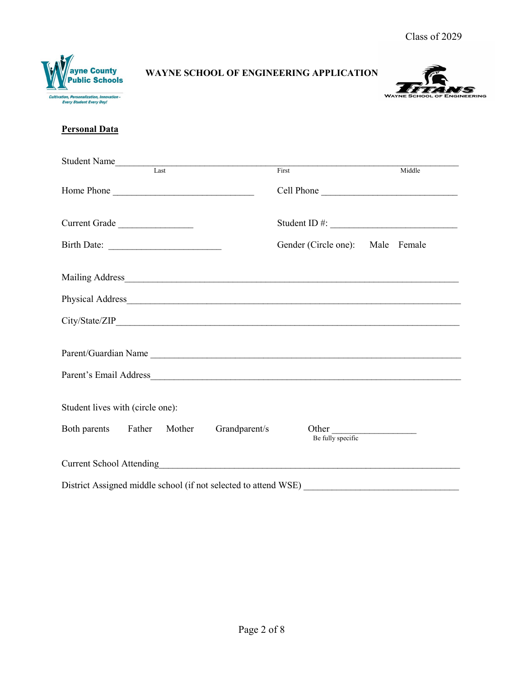



# **Personal Data**

| Student Name<br>Last                     |  |                                  |                                                                                                                                                                                                                                                                                                       |
|------------------------------------------|--|----------------------------------|-------------------------------------------------------------------------------------------------------------------------------------------------------------------------------------------------------------------------------------------------------------------------------------------------------|
|                                          |  | First                            | Middle                                                                                                                                                                                                                                                                                                |
| Home Phone                               |  |                                  | Cell Phone                                                                                                                                                                                                                                                                                            |
| Current Grade                            |  |                                  | Student ID #: $\frac{1}{2}$ = $\frac{1}{2}$ = $\frac{1}{2}$ = $\frac{1}{2}$ = $\frac{1}{2}$ = $\frac{1}{2}$ = $\frac{1}{2}$ = $\frac{1}{2}$ = $\frac{1}{2}$ = $\frac{1}{2}$ = $\frac{1}{2}$ = $\frac{1}{2}$ = $\frac{1}{2}$ = $\frac{1}{2}$ = $\frac{1}{2}$ = $\frac{1}{2}$ = $\frac{1}{2}$ = $\frac$ |
| Birth Date:                              |  | Gender (Circle one): Male Female |                                                                                                                                                                                                                                                                                                       |
|                                          |  |                                  |                                                                                                                                                                                                                                                                                                       |
|                                          |  |                                  |                                                                                                                                                                                                                                                                                                       |
|                                          |  |                                  |                                                                                                                                                                                                                                                                                                       |
| Parent/Guardian Name                     |  |                                  |                                                                                                                                                                                                                                                                                                       |
| Parent's Email Address                   |  |                                  |                                                                                                                                                                                                                                                                                                       |
| Student lives with (circle one):         |  |                                  |                                                                                                                                                                                                                                                                                                       |
| Both parents Father Mother Grandparent/s |  | Other<br>Be fully specific       |                                                                                                                                                                                                                                                                                                       |
|                                          |  |                                  |                                                                                                                                                                                                                                                                                                       |
|                                          |  |                                  |                                                                                                                                                                                                                                                                                                       |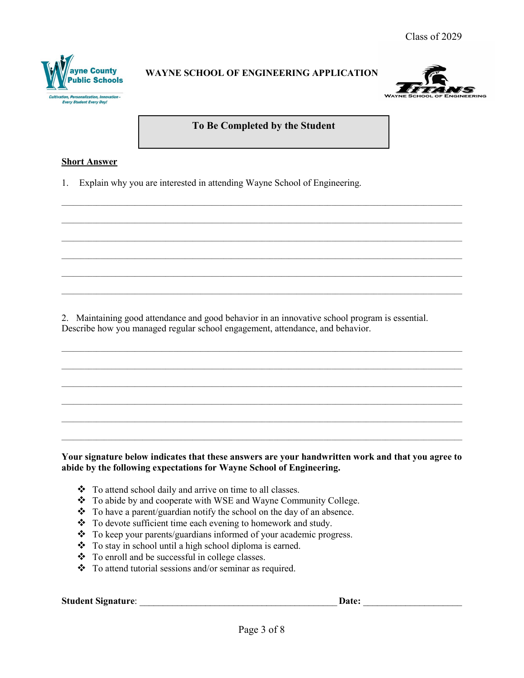



#### **To Be Completed by the Student**

 $\_$  ,  $\_$  ,  $\_$  ,  $\_$  ,  $\_$  ,  $\_$  ,  $\_$  ,  $\_$  ,  $\_$  ,  $\_$  ,  $\_$  ,  $\_$  ,  $\_$  ,  $\_$  ,  $\_$  ,  $\_$  ,  $\_$  ,  $\_$  ,  $\_$  ,  $\_$  ,  $\_$  ,  $\_$  ,  $\_$  ,  $\_$  ,  $\_$  ,  $\_$  ,  $\_$  ,  $\_$  ,  $\_$  ,  $\_$  ,  $\_$  ,  $\_$  ,  $\_$  ,  $\_$  ,  $\_$  ,  $\_$  ,  $\_$  ,

 $\_$  ,  $\_$  ,  $\_$  ,  $\_$  ,  $\_$  ,  $\_$  ,  $\_$  ,  $\_$  ,  $\_$  ,  $\_$  ,  $\_$  ,  $\_$  ,  $\_$  ,  $\_$  ,  $\_$  ,  $\_$  ,  $\_$  ,  $\_$  ,  $\_$  ,  $\_$  ,  $\_$  ,  $\_$  ,  $\_$  ,  $\_$  ,  $\_$  ,  $\_$  ,  $\_$  ,  $\_$  ,  $\_$  ,  $\_$  ,  $\_$  ,  $\_$  ,  $\_$  ,  $\_$  ,  $\_$  ,  $\_$  ,  $\_$  ,

 $\_$  ,  $\_$  ,  $\_$  ,  $\_$  ,  $\_$  ,  $\_$  ,  $\_$  ,  $\_$  ,  $\_$  ,  $\_$  ,  $\_$  ,  $\_$  ,  $\_$  ,  $\_$  ,  $\_$  ,  $\_$  ,  $\_$  ,  $\_$  ,  $\_$  ,  $\_$  ,  $\_$  ,  $\_$  ,  $\_$  ,  $\_$  ,  $\_$  ,  $\_$  ,  $\_$  ,  $\_$  ,  $\_$  ,  $\_$  ,  $\_$  ,  $\_$  ,  $\_$  ,  $\_$  ,  $\_$  ,  $\_$  ,  $\_$  ,

 $\_$  ,  $\_$  ,  $\_$  ,  $\_$  ,  $\_$  ,  $\_$  ,  $\_$  ,  $\_$  ,  $\_$  ,  $\_$  ,  $\_$  ,  $\_$  ,  $\_$  ,  $\_$  ,  $\_$  ,  $\_$  ,  $\_$  ,  $\_$  ,  $\_$  ,  $\_$  ,  $\_$  ,  $\_$  ,  $\_$  ,  $\_$  ,  $\_$  ,  $\_$  ,  $\_$  ,  $\_$  ,  $\_$  ,  $\_$  ,  $\_$  ,  $\_$  ,  $\_$  ,  $\_$  ,  $\_$  ,  $\_$  ,  $\_$  ,

 $\_$  ,  $\_$  ,  $\_$  ,  $\_$  ,  $\_$  ,  $\_$  ,  $\_$  ,  $\_$  ,  $\_$  ,  $\_$  ,  $\_$  ,  $\_$  ,  $\_$  ,  $\_$  ,  $\_$  ,  $\_$  ,  $\_$  ,  $\_$  ,  $\_$  ,  $\_$  ,  $\_$  ,  $\_$  ,  $\_$  ,  $\_$  ,  $\_$  ,  $\_$  ,  $\_$  ,  $\_$  ,  $\_$  ,  $\_$  ,  $\_$  ,  $\_$  ,  $\_$  ,  $\_$  ,  $\_$  ,  $\_$  ,  $\_$  ,

 $\_$  ,  $\_$  ,  $\_$  ,  $\_$  ,  $\_$  ,  $\_$  ,  $\_$  ,  $\_$  ,  $\_$  ,  $\_$  ,  $\_$  ,  $\_$  ,  $\_$  ,  $\_$  ,  $\_$  ,  $\_$  ,  $\_$  ,  $\_$  ,  $\_$  ,  $\_$  ,  $\_$  ,  $\_$  ,  $\_$  ,  $\_$  ,  $\_$  ,  $\_$  ,  $\_$  ,  $\_$  ,  $\_$  ,  $\_$  ,  $\_$  ,  $\_$  ,  $\_$  ,  $\_$  ,  $\_$  ,  $\_$  ,  $\_$  ,

 $\_$  ,  $\_$  ,  $\_$  ,  $\_$  ,  $\_$  ,  $\_$  ,  $\_$  ,  $\_$  ,  $\_$  ,  $\_$  ,  $\_$  ,  $\_$  ,  $\_$  ,  $\_$  ,  $\_$  ,  $\_$  ,  $\_$  ,  $\_$  ,  $\_$  ,  $\_$  ,  $\_$  ,  $\_$  ,  $\_$  ,  $\_$  ,  $\_$  ,  $\_$  ,  $\_$  ,  $\_$  ,  $\_$  ,  $\_$  ,  $\_$  ,  $\_$  ,  $\_$  ,  $\_$  ,  $\_$  ,  $\_$  ,  $\_$  ,

 $\_$  ,  $\_$  ,  $\_$  ,  $\_$  ,  $\_$  ,  $\_$  ,  $\_$  ,  $\_$  ,  $\_$  ,  $\_$  ,  $\_$  ,  $\_$  ,  $\_$  ,  $\_$  ,  $\_$  ,  $\_$  ,  $\_$  ,  $\_$  ,  $\_$  ,  $\_$  ,  $\_$  ,  $\_$  ,  $\_$  ,  $\_$  ,  $\_$  ,  $\_$  ,  $\_$  ,  $\_$  ,  $\_$  ,  $\_$  ,  $\_$  ,  $\_$  ,  $\_$  ,  $\_$  ,  $\_$  ,  $\_$  ,  $\_$  ,

 $\_$  ,  $\_$  ,  $\_$  ,  $\_$  ,  $\_$  ,  $\_$  ,  $\_$  ,  $\_$  ,  $\_$  ,  $\_$  ,  $\_$  ,  $\_$  ,  $\_$  ,  $\_$  ,  $\_$  ,  $\_$  ,  $\_$  ,  $\_$  ,  $\_$  ,  $\_$  ,  $\_$  ,  $\_$  ,  $\_$  ,  $\_$  ,  $\_$  ,  $\_$  ,  $\_$  ,  $\_$  ,  $\_$  ,  $\_$  ,  $\_$  ,  $\_$  ,  $\_$  ,  $\_$  ,  $\_$  ,  $\_$  ,  $\_$  ,

 $\_$  ,  $\_$  ,  $\_$  ,  $\_$  ,  $\_$  ,  $\_$  ,  $\_$  ,  $\_$  ,  $\_$  ,  $\_$  ,  $\_$  ,  $\_$  ,  $\_$  ,  $\_$  ,  $\_$  ,  $\_$  ,  $\_$  ,  $\_$  ,  $\_$  ,  $\_$  ,  $\_$  ,  $\_$  ,  $\_$  ,  $\_$  ,  $\_$  ,  $\_$  ,  $\_$  ,  $\_$  ,  $\_$  ,  $\_$  ,  $\_$  ,  $\_$  ,  $\_$  ,  $\_$  ,  $\_$  ,  $\_$  ,  $\_$  ,

#### **Short Answer**

1. Explain why you are interested in attending Wayne School of Engineering.

2. Maintaining good attendance and good behavior in an innovative school program is essential. Describe how you managed regular school engagement, attendance, and behavior.

#### **Your signature below indicates that these answers are your handwritten work and that you agree to abide by the following expectations for Wayne School of Engineering.**

- \* To attend school daily and arrive on time to all classes.
- \* To abide by and cooperate with WSE and Wayne Community College.
- $\bullet$  To have a parent/guardian notify the school on the day of an absence.
- \* To devote sufficient time each evening to homework and study.
- To keep your parents/guardians informed of your academic progress.
- \* To stay in school until a high school diploma is earned.
- To enroll and be successful in college classes.
- \* To attend tutorial sessions and/or seminar as required.

**Student Signature**: \_\_\_\_\_\_\_\_\_\_\_\_\_\_\_\_\_\_\_\_\_\_\_\_\_\_\_\_\_\_\_\_\_\_\_\_\_\_\_\_\_\_ **Date:** \_\_\_\_\_\_\_\_\_\_\_\_\_\_\_\_\_\_\_\_\_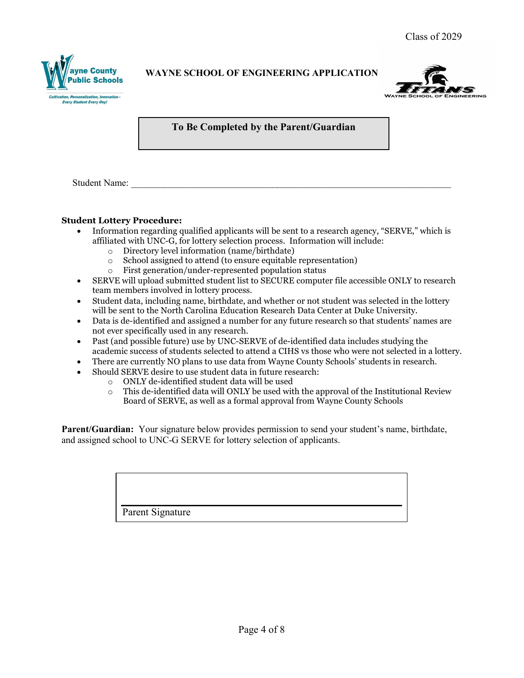



### **To Be Completed by the Parent/Guardian**

Student Name:

#### **Student Lottery Procedure:**

- Information regarding qualified applicants will be sent to a research agency, "SERVE," which is affiliated with UNC-G, for lottery selection process. Information will include:
	- $\circ$  Directory level information (name/birthdate)<br> $\circ$  School assigned to attend (to ensure equitable
	- $\circ$  School assigned to attend (to ensure equitable representation)<br> $\circ$  First generation/under-represented population status
	- First generation/under-represented population status
- SERVE will upload submitted student list to SECURE computer file accessible ONLY to research team members involved in lottery process.
- Student data, including name, birthdate, and whether or not student was selected in the lottery will be sent to the North Carolina Education Research Data Center at Duke University.
- Data is de-identified and assigned a number for any future research so that students' names are not ever specifically used in any research.
- Past (and possible future) use by UNC-SERVE of de-identified data includes studying the academic success of students selected to attend a CIHS vs those who were not selected in a lottery.
- There are currently NO plans to use data from Wayne County Schools' students in research.
- Should SERVE desire to use student data in future research:
	- $\circ$  ONLY de-identified student data will be used<br> $\circ$  This de-identified data will ONLY be used wit
	- This de-identified data will ONLY be used with the approval of the Institutional Review Board of SERVE, as well as a formal approval from Wayne County Schools

**Parent/Guardian:** Your signature below provides permission to send your student's name, birthdate, and assigned school to UNC-G SERVE for lottery selection of applicants.

Parent Signature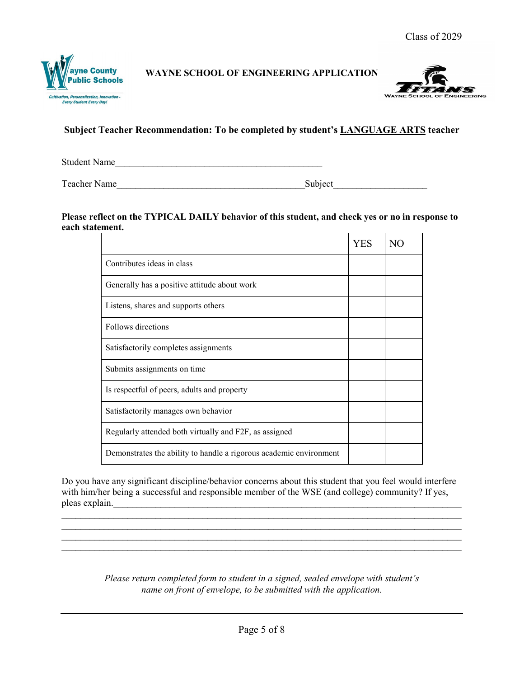



# **Subject Teacher Recommendation: To be completed by student's LANGUAGE ARTS teacher**

Student Name

Teacher Name **Subject** 

#### **Please reflect on the TYPICAL DAILY behavior of this student, and check yes or no in response to each statement.**

|                                                                    | YES |  |
|--------------------------------------------------------------------|-----|--|
| Contributes ideas in class                                         |     |  |
| Generally has a positive attitude about work                       |     |  |
| Listens, shares and supports others                                |     |  |
| Follows directions                                                 |     |  |
| Satisfactorily completes assignments                               |     |  |
| Submits assignments on time                                        |     |  |
| Is respectful of peers, adults and property                        |     |  |
| Satisfactorily manages own behavior                                |     |  |
| Regularly attended both virtually and F2F, as assigned             |     |  |
| Demonstrates the ability to handle a rigorous academic environment |     |  |

Do you have any significant discipline/behavior concerns about this student that you feel would interfere with him/her being a successful and responsible member of the WSE (and college) community? If yes, pleas explain.

 $\_$  , and the set of the set of the set of the set of the set of the set of the set of the set of the set of the set of the set of the set of the set of the set of the set of the set of the set of the set of the set of th  $\_$  , and the contribution of the contribution of the contribution of the contribution of  $\mathcal{L}_\text{max}$  $\_$  , and the set of the set of the set of the set of the set of the set of the set of the set of the set of the set of the set of the set of the set of the set of the set of the set of the set of the set of the set of th

> *Please return completed form to student in a signed, sealed envelope with student's name on front of envelope, to be submitted with the application.*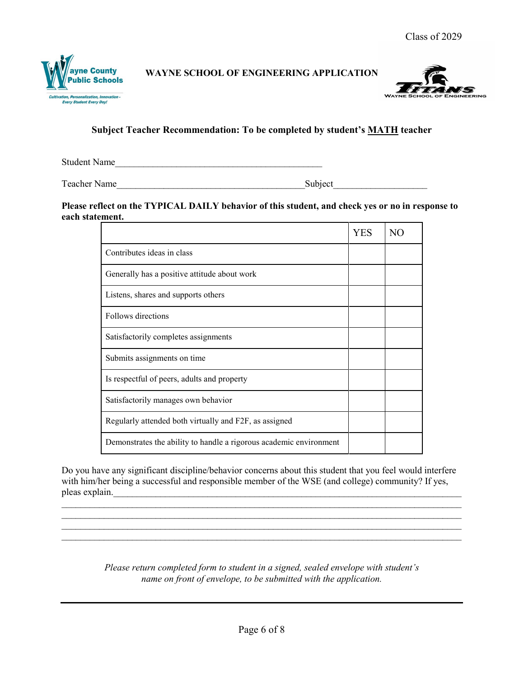



### **Subject Teacher Recommendation: To be completed by student's MATH teacher**

Student Name

Teacher Name\_\_\_\_\_\_\_\_\_\_\_\_\_\_\_\_\_\_\_\_\_\_\_\_\_\_\_\_\_\_\_\_\_\_\_\_\_\_\_\_Subject\_\_\_\_\_\_\_\_\_\_\_\_\_\_\_\_\_\_\_\_

#### **Please reflect on the TYPICAL DAILY behavior of this student, and check yes or no in response to each statement.**

|                                                                    | YES |  |
|--------------------------------------------------------------------|-----|--|
| Contributes ideas in class                                         |     |  |
| Generally has a positive attitude about work                       |     |  |
| Listens, shares and supports others                                |     |  |
| Follows directions                                                 |     |  |
| Satisfactorily completes assignments                               |     |  |
| Submits assignments on time.                                       |     |  |
| Is respectful of peers, adults and property                        |     |  |
| Satisfactorily manages own behavior                                |     |  |
| Regularly attended both virtually and F2F, as assigned             |     |  |
| Demonstrates the ability to handle a rigorous academic environment |     |  |

Do you have any significant discipline/behavior concerns about this student that you feel would interfere with him/her being a successful and responsible member of the WSE (and college) community? If yes, pleas explain.

 $\_$  , and the set of the set of the set of the set of the set of the set of the set of the set of the set of the set of the set of the set of the set of the set of the set of the set of the set of the set of the set of th

 $\_$  , and the set of the set of the set of the set of the set of the set of the set of the set of the set of the set of the set of the set of the set of the set of the set of the set of the set of the set of the set of th

*Please return completed form to student in a signed, sealed envelope with student's name on front of envelope, to be submitted with the application.*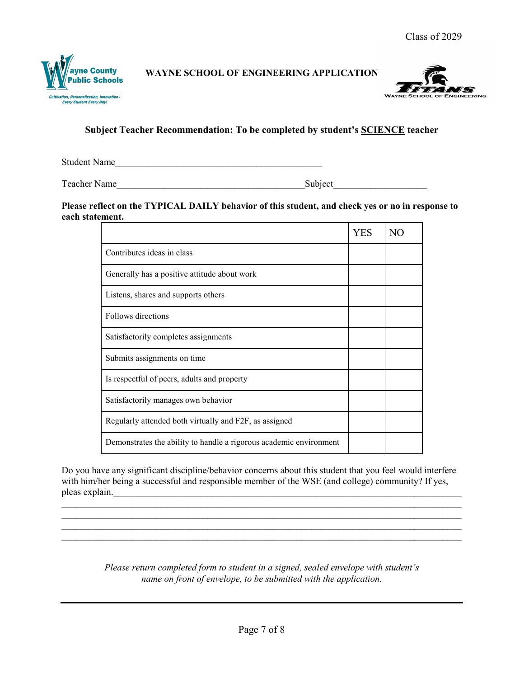



### **Subject Teacher Recommendation: To be completed by student's SCIENCE teacher**

Student Name

Teacher Name\_\_\_\_\_\_\_\_\_\_\_\_\_\_\_\_\_\_\_\_\_\_\_\_\_\_\_\_\_\_\_\_\_\_\_\_\_\_\_\_Subject\_\_\_\_\_\_\_\_\_\_\_\_\_\_\_\_\_\_\_\_

**Please reflect on the TYPICAL DAILY behavior of this student, and check yes or no in response to each statement.**

|                                                                    | <b>YES</b> |  |
|--------------------------------------------------------------------|------------|--|
| Contributes ideas in class                                         |            |  |
| Generally has a positive attitude about work                       |            |  |
| Listens, shares and supports others                                |            |  |
| Follows directions                                                 |            |  |
| Satisfactorily completes assignments                               |            |  |
| Submits assignments on time.                                       |            |  |
| Is respectful of peers, adults and property                        |            |  |
| Satisfactorily manages own behavior                                |            |  |
| Regularly attended both virtually and F2F, as assigned             |            |  |
| Demonstrates the ability to handle a rigorous academic environment |            |  |

Do you have any significant discipline/behavior concerns about this student that you feel would interfere with him/her being a successful and responsible member of the WSE (and college) community? If yes, pleas explain.

 $\_$  , and the set of the set of the set of the set of the set of the set of the set of the set of the set of the set of the set of the set of the set of the set of the set of the set of the set of the set of the set of th  $\_$  , and the set of the set of the set of the set of the set of the set of the set of the set of the set of the set of the set of the set of the set of the set of the set of the set of the set of the set of the set of th

 $\_$  , and the set of the set of the set of the set of the set of the set of the set of the set of the set of the set of the set of the set of the set of the set of the set of the set of the set of the set of the set of th

*Please return completed form to student in a signed, sealed envelope with student's name on front of envelope, to be submitted with the application.*